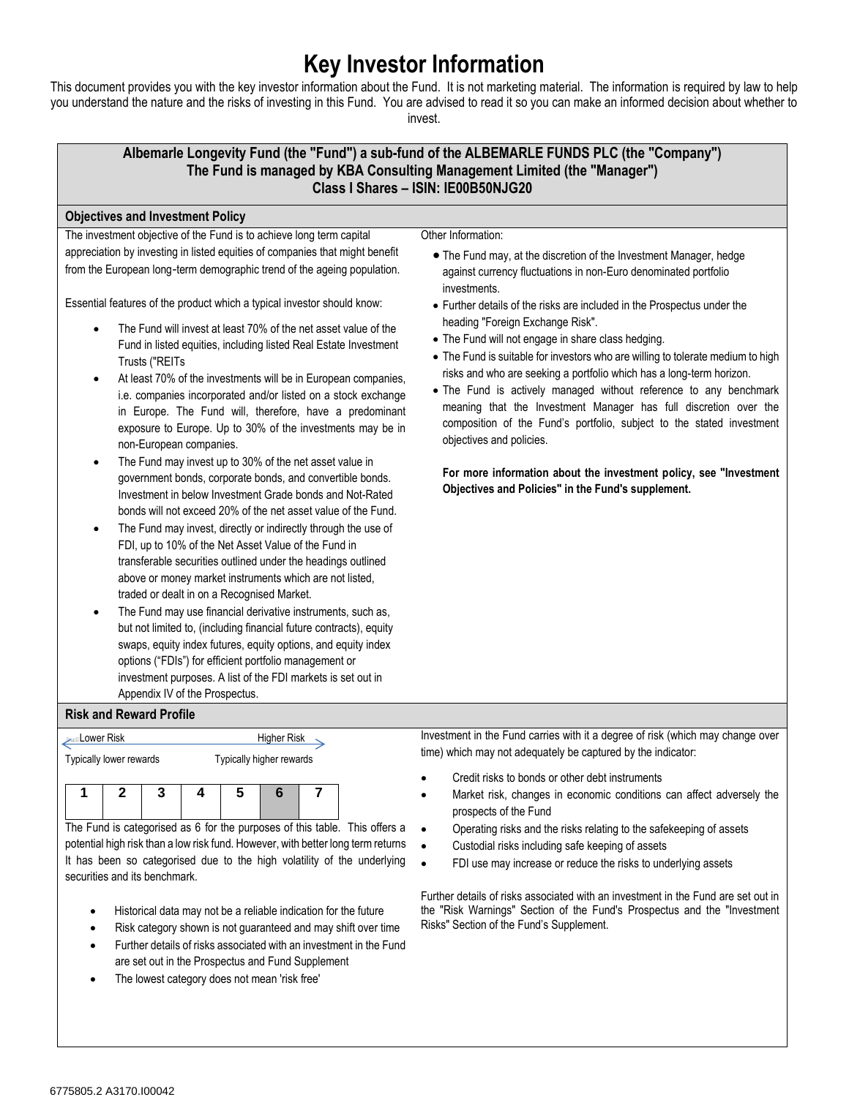## **Key Investor Information**

This document provides you with the key investor information about the Fund. It is not marketing material. The information is required by law to help you understand the nature and the risks of investing in this Fund. You are advised to read it so you can make an informed decision about whether to invest.



The Fund is categorised as 6 for the purposes of this table. This offers a potential high risk than a low risk fund. However, with better long term returns It has been so categorised due to the high volatility of the underlying securities and its benchmark.

- Historical data may not be a reliable indication for the future
- Risk category shown is not guaranteed and may shift over time
- Further details of risks associated with an investment in the Fund are set out in the Prospectus and Fund Supplement
- The lowest category does not mean 'risk free'
- Operating risks and the risks relating to the safekeeping of assets
- Custodial risks including safe keeping of assets
- FDI use may increase or reduce the risks to underlying assets

Further details of risks associated with an investment in the Fund are set out in the "Risk Warnings" Section of the Fund's Prospectus and the "Investment Risks" Section of the Fund's Supplement.